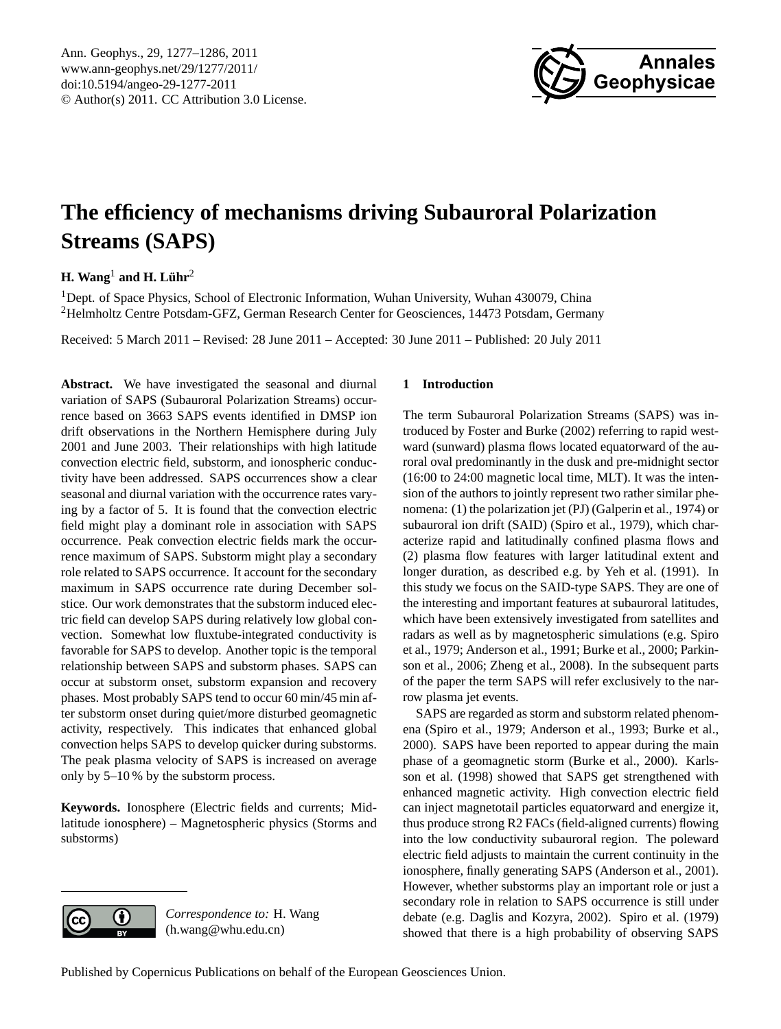

# <span id="page-0-0"></span>**The efficiency of mechanisms driving Subauroral Polarization Streams (SAPS)**

# $\mathbf{H.}$  Wang $^1$  and  $\mathbf{H.}$  Lühr $^2$

<sup>1</sup>Dept. of Space Physics, School of Electronic Information, Wuhan University, Wuhan 430079, China <sup>2</sup>Helmholtz Centre Potsdam-GFZ, German Research Center for Geosciences, 14473 Potsdam, Germany

Received: 5 March 2011 – Revised: 28 June 2011 – Accepted: 30 June 2011 – Published: 20 July 2011

**Abstract.** We have investigated the seasonal and diurnal variation of SAPS (Subauroral Polarization Streams) occurrence based on 3663 SAPS events identified in DMSP ion drift observations in the Northern Hemisphere during July 2001 and June 2003. Their relationships with high latitude convection electric field, substorm, and ionospheric conductivity have been addressed. SAPS occurrences show a clear seasonal and diurnal variation with the occurrence rates varying by a factor of 5. It is found that the convection electric field might play a dominant role in association with SAPS occurrence. Peak convection electric fields mark the occurrence maximum of SAPS. Substorm might play a secondary role related to SAPS occurrence. It account for the secondary maximum in SAPS occurrence rate during December solstice. Our work demonstrates that the substorm induced electric field can develop SAPS during relatively low global convection. Somewhat low fluxtube-integrated conductivity is favorable for SAPS to develop. Another topic is the temporal relationship between SAPS and substorm phases. SAPS can occur at substorm onset, substorm expansion and recovery phases. Most probably SAPS tend to occur 60 min/45 min after substorm onset during quiet/more disturbed geomagnetic activity, respectively. This indicates that enhanced global convection helps SAPS to develop quicker during substorms. The peak plasma velocity of SAPS is increased on average only by 5–10 % by the substorm process.

**Keywords.** Ionosphere (Electric fields and currents; Midlatitude ionosphere) – Magnetospheric physics (Storms and substorms)

# $\left( \cdot \right)$

*Correspondence to:* H. Wang (h.wang@whu.edu.cn)

# **1 Introduction**

The term Subauroral Polarization Streams (SAPS) was introduced by [Foster and Burke](#page-8-0) [\(2002\)](#page-8-0) referring to rapid westward (sunward) plasma flows located equatorward of the auroral oval predominantly in the dusk and pre-midnight sector (16:00 to 24:00 magnetic local time, MLT). It was the intension of the authors to jointly represent two rather similar phenomena: (1) the polarization jet (PJ) [\(Galperin et al.,](#page-8-1) [1974\)](#page-8-1) or subauroral ion drift (SAID) [\(Spiro et al.,](#page-9-0) [1979\)](#page-9-0), which characterize rapid and latitudinally confined plasma flows and (2) plasma flow features with larger latitudinal extent and longer duration, as described e.g. by [Yeh et al.](#page-9-1) [\(1991\)](#page-9-1). In this study we focus on the SAID-type SAPS. They are one of the interesting and important features at subauroral latitudes, which have been extensively investigated from satellites and radars as well as by magnetospheric simulations (e.g. [Spiro](#page-9-0) [et al.,](#page-9-0) [1979;](#page-9-0) [Anderson et al.,](#page-8-2) [1991;](#page-8-2) [Burke et al.,](#page-8-3) [2000;](#page-8-3) [Parkin](#page-9-2)[son et al.,](#page-9-2) [2006;](#page-9-2) [Zheng et al.,](#page-9-3) [2008\)](#page-9-3). In the subsequent parts of the paper the term SAPS will refer exclusively to the narrow plasma jet events.

SAPS are regarded as storm and substorm related phenomena [\(Spiro et al.,](#page-9-0) [1979;](#page-9-0) [Anderson et al.,](#page-8-4) [1993;](#page-8-4) [Burke et al.,](#page-8-3) [2000\)](#page-8-3). SAPS have been reported to appear during the main phase of a geomagnetic storm [\(Burke et al.,](#page-8-3) [2000\)](#page-8-3). [Karls](#page-8-5)[son et al.](#page-8-5) [\(1998\)](#page-8-5) showed that SAPS get strengthened with enhanced magnetic activity. High convection electric field can inject magnetotail particles equatorward and energize it, thus produce strong R2 FACs (field-aligned currents) flowing into the low conductivity subauroral region. The poleward electric field adjusts to maintain the current continuity in the ionosphere, finally generating SAPS [\(Anderson et al.,](#page-8-6) [2001\)](#page-8-6). However, whether substorms play an important role or just a secondary role in relation to SAPS occurrence is still under debate (e.g. [Daglis and Kozyra,](#page-8-7) [2002\)](#page-8-7). [Spiro et al.](#page-9-0) [\(1979\)](#page-9-0) showed that there is a high probability of observing SAPS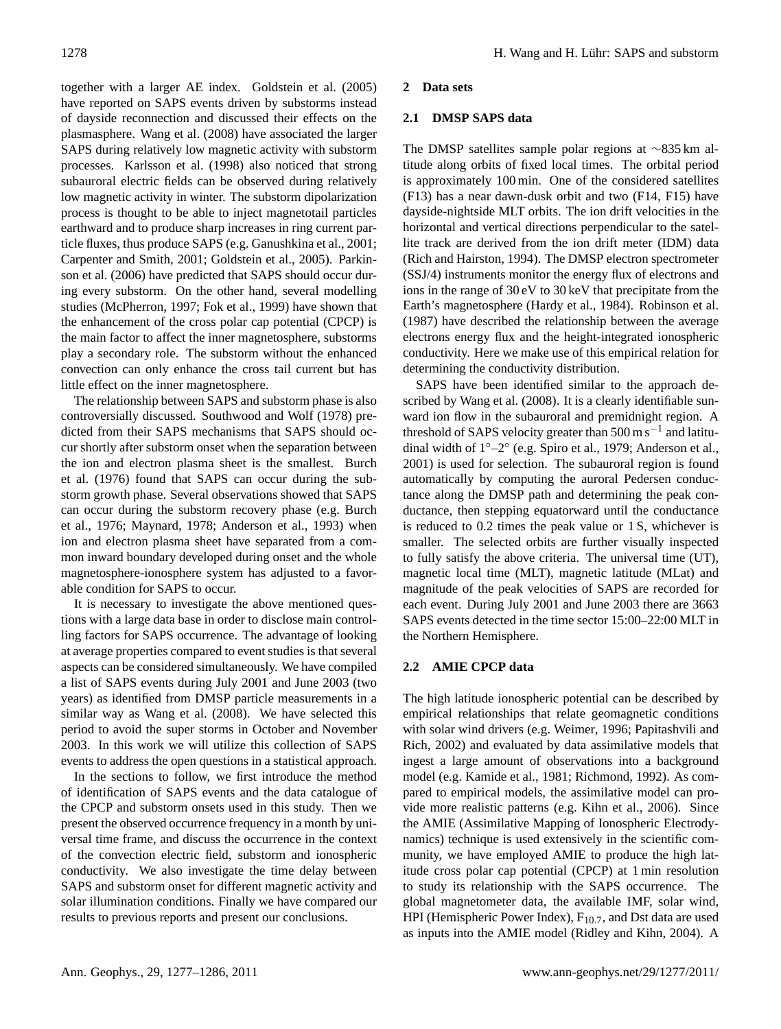together with a larger AE index. [Goldstein et al.](#page-8-8) [\(2005\)](#page-8-8) have reported on SAPS events driven by substorms instead of dayside reconnection and discussed their effects on the plasmasphere. [Wang et al.](#page-9-4) [\(2008\)](#page-9-4) have associated the larger SAPS during relatively low magnetic activity with substorm processes. [Karlsson et al.](#page-8-5) [\(1998\)](#page-8-5) also noticed that strong subauroral electric fields can be observed during relatively low magnetic activity in winter. The substorm dipolarization process is thought to be able to inject magnetotail particles earthward and to produce sharp increases in ring current particle fluxes, thus produce SAPS (e.g. [Ganushkina et al.,](#page-8-9) [2001;](#page-8-9) [Carpenter and Smith,](#page-8-10) [2001;](#page-8-10) [Goldstein et al.,](#page-8-8) [2005\)](#page-8-8). [Parkin](#page-9-2)[son et al.](#page-9-2) [\(2006\)](#page-9-2) have predicted that SAPS should occur during every substorm. On the other hand, several modelling studies [\(McPherron,](#page-8-11) [1997;](#page-8-11) [Fok et al.,](#page-8-12) [1999\)](#page-8-12) have shown that the enhancement of the cross polar cap potential (CPCP) is the main factor to affect the inner magnetosphere, substorms play a secondary role. The substorm without the enhanced convection can only enhance the cross tail current but has little effect on the inner magnetosphere.

The relationship between SAPS and substorm phase is also controversially discussed. [Southwood and Wolf](#page-9-5) [\(1978\)](#page-9-5) predicted from their SAPS mechanisms that SAPS should occur shortly after substorm onset when the separation between the ion and electron plasma sheet is the smallest. [Burch](#page-8-13) [et al.](#page-8-13) [\(1976\)](#page-8-13) found that SAPS can occur during the substorm growth phase. Several observations showed that SAPS can occur during the substorm recovery phase (e.g. [Burch](#page-8-13) [et al.,](#page-8-13) [1976;](#page-8-13) [Maynard,](#page-8-14) [1978;](#page-8-14) [Anderson et al.,](#page-8-4) [1993\)](#page-8-4) when ion and electron plasma sheet have separated from a common inward boundary developed during onset and the whole magnetosphere-ionosphere system has adjusted to a favorable condition for SAPS to occur.

It is necessary to investigate the above mentioned questions with a large data base in order to disclose main controlling factors for SAPS occurrence. The advantage of looking at average properties compared to event studies is that several aspects can be considered simultaneously. We have compiled a list of SAPS events during July 2001 and June 2003 (two years) as identified from DMSP particle measurements in a similar way as [Wang et al.](#page-9-4) [\(2008\)](#page-9-4). We have selected this period to avoid the super storms in October and November 2003. In this work we will utilize this collection of SAPS events to address the open questions in a statistical approach.

In the sections to follow, we first introduce the method of identification of SAPS events and the data catalogue of the CPCP and substorm onsets used in this study. Then we present the observed occurrence frequency in a month by universal time frame, and discuss the occurrence in the context of the convection electric field, substorm and ionospheric conductivity. We also investigate the time delay between SAPS and substorm onset for different magnetic activity and solar illumination conditions. Finally we have compared our results to previous reports and present our conclusions.

#### **2 Data sets**

#### **2.1 DMSP SAPS data**

The DMSP satellites sample polar regions at ∼835 km altitude along orbits of fixed local times. The orbital period is approximately 100 min. One of the considered satellites (F13) has a near dawn-dusk orbit and two (F14, F15) have dayside-nightside MLT orbits. The ion drift velocities in the horizontal and vertical directions perpendicular to the satellite track are derived from the ion drift meter (IDM) data [\(Rich and Hairston,](#page-9-6) [1994\)](#page-9-6). The DMSP electron spectrometer (SSJ/4) instruments monitor the energy flux of electrons and ions in the range of 30 eV to 30 keV that precipitate from the Earth's magnetosphere [\(Hardy et al.,](#page-8-15) [1984\)](#page-8-15). [Robinson et al.](#page-9-7) [\(1987\)](#page-9-7) have described the relationship between the average electrons energy flux and the height-integrated ionospheric conductivity. Here we make use of this empirical relation for determining the conductivity distribution.

SAPS have been identified similar to the approach described by [Wang et al.](#page-9-4) [\(2008\)](#page-9-4). It is a clearly identifiable sunward ion flow in the subauroral and premidnight region. A threshold of SAPS velocity greater than  $500 \text{ m s}^{-1}$  and latitudinal width of 1◦–2◦ (e.g. [Spiro et al.,](#page-9-0) [1979;](#page-9-0) [Anderson et al.,](#page-8-6) [2001\)](#page-8-6) is used for selection. The subauroral region is found automatically by computing the auroral Pedersen conductance along the DMSP path and determining the peak conductance, then stepping equatorward until the conductance is reduced to 0.2 times the peak value or 1 S, whichever is smaller. The selected orbits are further visually inspected to fully satisfy the above criteria. The universal time (UT), magnetic local time (MLT), magnetic latitude (MLat) and magnitude of the peak velocities of SAPS are recorded for each event. During July 2001 and June 2003 there are 3663 SAPS events detected in the time sector 15:00–22:00 MLT in the Northern Hemisphere.

# **2.2 AMIE CPCP data**

The high latitude ionospheric potential can be described by empirical relationships that relate geomagnetic conditions with solar wind drivers (e.g. [Weimer,](#page-9-8) [1996;](#page-9-8) [Papitashvili and](#page-9-9) [Rich,](#page-9-9) [2002\)](#page-9-9) and evaluated by data assimilative models that ingest a large amount of observations into a background model (e.g. [Kamide et al.,](#page-8-16) [1981;](#page-8-16) [Richmond,](#page-9-10) [1992\)](#page-9-10). As compared to empirical models, the assimilative model can provide more realistic patterns (e.g. [Kihn et al.,](#page-8-17) [2006\)](#page-8-17). Since the AMIE (Assimilative Mapping of Ionospheric Electrodynamics) technique is used extensively in the scientific community, we have employed AMIE to produce the high latitude cross polar cap potential (CPCP) at 1 min resolution to study its relationship with the SAPS occurrence. The global magnetometer data, the available IMF, solar wind, HPI (Hemispheric Power Index),  $F_{10.7}$ , and Dst data are used as inputs into the AMIE model [\(Ridley and Kihn,](#page-9-11) [2004\)](#page-9-11). A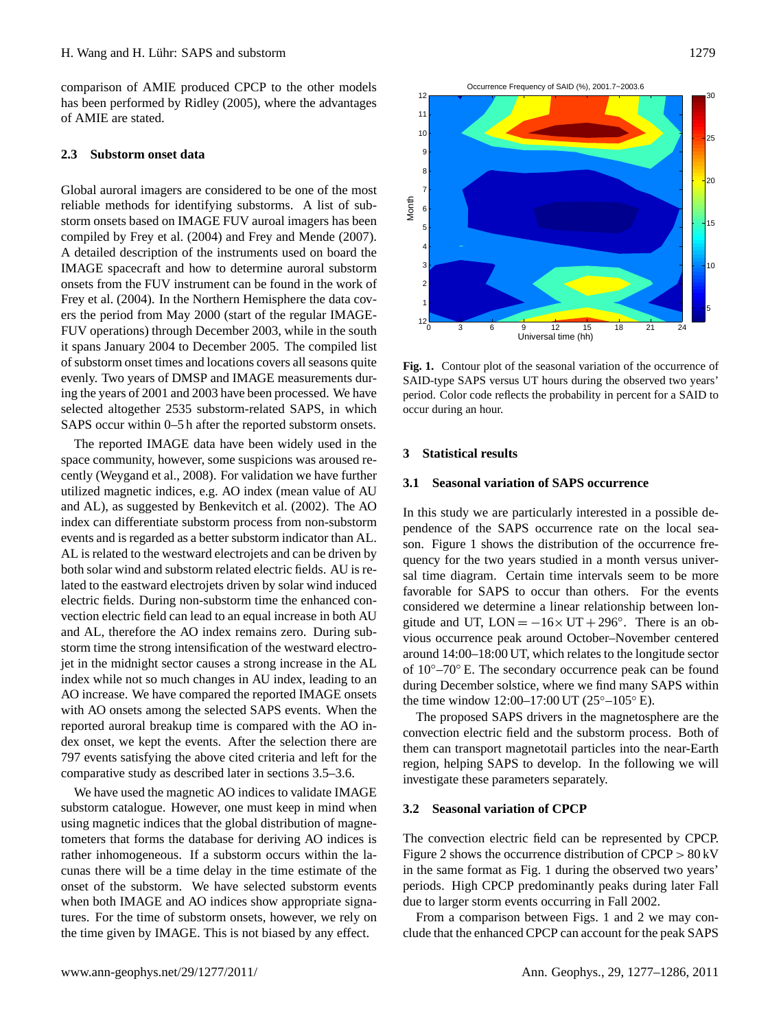comparison of AMIE produced CPCP to the other models has been performed by [Ridley](#page-9-12) [\(2005\)](#page-9-12), where the advantages of AMIE are stated.

# **2.3 Substorm onset data**

Global auroral imagers are considered to be one of the most reliable methods for identifying substorms. A list of substorm onsets based on IMAGE FUV auroal imagers has been compiled by [Frey et al.](#page-8-18) [\(2004\)](#page-8-18) and [Frey and Mende](#page-8-19) [\(2007\)](#page-8-19). A detailed description of the instruments used on board the IMAGE spacecraft and how to determine auroral substorm onsets from the FUV instrument can be found in the work of [Frey et al.](#page-8-18) [\(2004\)](#page-8-18). In the Northern Hemisphere the data covers the period from May 2000 (start of the regular IMAGE-FUV operations) through December 2003, while in the south it spans January 2004 to December 2005. The compiled list of substorm onset times and locations covers all seasons quite evenly. Two years of DMSP and IMAGE measurements during the years of 2001 and 2003 have been processed. We have selected altogether 2535 substorm-related SAPS, in which SAPS occur within 0–5 h after the reported substorm onsets.

The reported IMAGE data have been widely used in the space community, however, some suspicions was aroused recently [\(Weygand et al.,](#page-9-13) [2008\)](#page-9-13). For validation we have further utilized magnetic indices, e.g. AO index (mean value of AU and AL), as suggested by [Benkevitch et al.](#page-8-20) [\(2002\)](#page-8-20). The AO index can differentiate substorm process from non-substorm events and is regarded as a better substorm indicator than AL. AL is related to the westward electrojets and can be driven by both solar wind and substorm related electric fields. AU is related to the eastward electrojets driven by solar wind induced electric fields. During non-substorm time the enhanced convection electric field can lead to an equal increase in both AU and AL, therefore the AO index remains zero. During substorm time the strong intensification of the westward electrojet in the midnight sector causes a strong increase in the AL index while not so much changes in AU index, leading to an AO increase. We have compared the reported IMAGE onsets with AO onsets among the selected SAPS events. When the reported auroral breakup time is compared with the AO index onset, we kept the events. After the selection there are 797 events satisfying the above cited criteria and left for the comparative study as described later in sections 3.5–3.6.

We have used the magnetic AO indices to validate IMAGE substorm catalogue. However, one must keep in mind when using magnetic indices that the global distribution of magnetometers that forms the database for deriving AO indices is rather inhomogeneous. If a substorm occurs within the lacunas there will be a time delay in the time estimate of the onset of the substorm. We have selected substorm events when both IMAGE and AO indices show appropriate signatures. For the time of substorm onsets, however, we rely on the time given by IMAGE. This is not biased by any effect.



<span id="page-2-0"></span>Fig. 1. Contour plot of the seasonal variation of the occurrence of SAID-type SAPS versus UT hours during the observed two years' period. Color code reflects the probability in percent for a SAID to occur during an hour.

#### **3 Statistical results**

# **3.1 Seasonal variation of SAPS occurrence**

In this study we are particularly interested in a possible dependence of the SAPS occurrence rate on the local season. Figure [1](#page-2-0) shows the distribution of the occurrence frequency for the two years studied in a month versus universal time diagram. Certain time intervals seem to be more favorable for SAPS to occur than others. For the events considered we determine a linear relationship between longitude and UT,  $LON = -16 \times UT + 296^\circ$ . There is an obvious occurrence peak around October–November centered around 14:00–18:00 UT, which relates to the longitude sector of 10◦–70◦ E. The secondary occurrence peak can be found during December solstice, where we find many SAPS within the time window 12:00–17:00 UT ( $25^{\circ}$ –105° E).

The proposed SAPS drivers in the magnetosphere are the convection electric field and the substorm process. Both of them can transport magnetotail particles into the near-Earth region, helping SAPS to develop. In the following we will investigate these parameters separately.

#### **3.2 Seasonal variation of CPCP**

The convection electric field can be represented by CPCP. Figure [2](#page-3-0) shows the occurrence distribution of  $CPCP > 80$  kV in the same format as Fig. [1](#page-2-0) during the observed two years' periods. High CPCP predominantly peaks during later Fall due to larger storm events occurring in Fall 2002.

From a comparison between Figs. [1](#page-2-0) and [2](#page-3-0) we may conclude that the enhanced CPCP can account for the peak SAPS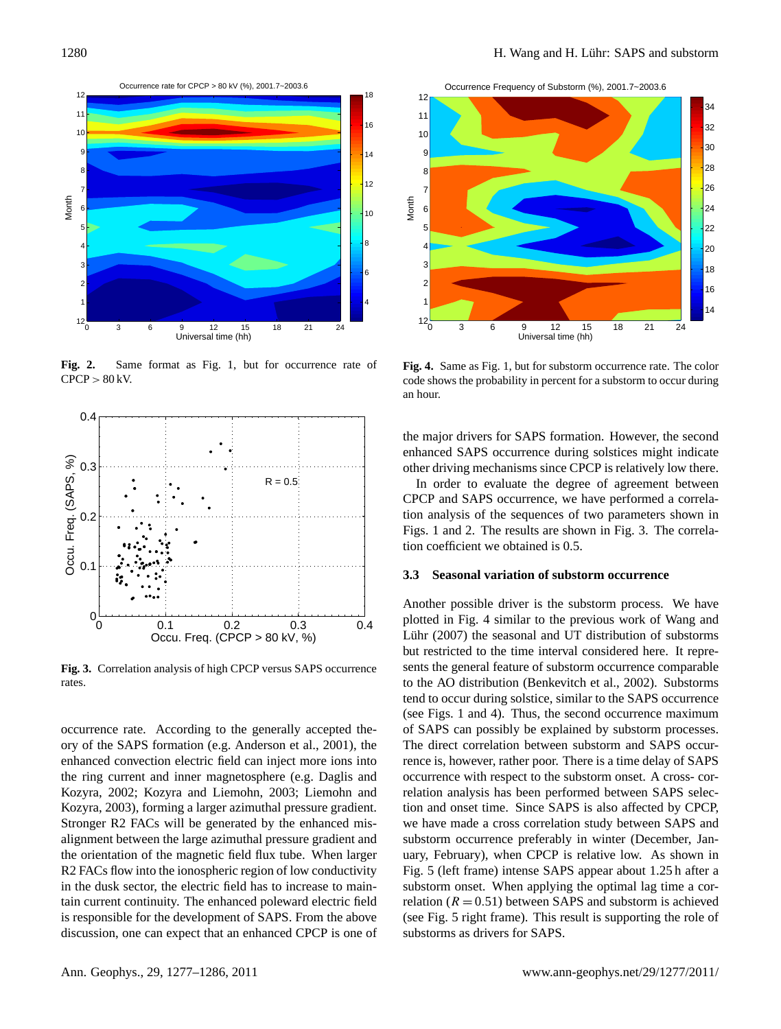

<span id="page-3-0"></span>**Fig. 2.** Same format as Fig. 1, but for occurrence rate of  $CPCP > 80$  kV.



<span id="page-3-1"></span>**Fig. 3.** Correlation analysis of high CPCP versus SAPS occurrence rates.

occurrence rate. According to the generally accepted theory of the SAPS formation (e.g. [Anderson et al.,](#page-8-6) [2001\)](#page-8-6), the enhanced convection electric field can inject more ions into the ring current and inner magnetosphere (e.g. [Daglis and](#page-8-7) [Kozyra,](#page-8-7) [2002;](#page-8-7) [Kozyra and Liemohn,](#page-8-21) [2003;](#page-8-21) [Liemohn and](#page-8-22) [Kozyra,](#page-8-22) [2003\)](#page-8-22), forming a larger azimuthal pressure gradient. Stronger R2 FACs will be generated by the enhanced misalignment between the large azimuthal pressure gradient and the orientation of the magnetic field flux tube. When larger R2 FACs flow into the ionospheric region of low conductivity in the dusk sector, the electric field has to increase to maintain current continuity. The enhanced poleward electric field is responsible for the development of SAPS. From the above discussion, one can expect that an enhanced CPCP is one of

Occurrence Frequency of Substorm (%), 2001.7~2003.6



<span id="page-3-2"></span>**Fig. 4.** Same as Fig. 1, but for substorm occurrence rate. The color code shows the probability in percent for a substorm to occur during an hour.

the major drivers for SAPS formation. However, the second enhanced SAPS occurrence during solstices might indicate other driving mechanisms since CPCP is relatively low there.

In order to evaluate the degree of agreement between CPCP and SAPS occurrence, we have performed a correlation analysis of the sequences of two parameters shown in Figs. [1](#page-2-0) and [2.](#page-3-0) The results are shown in Fig. [3.](#page-3-1) The correlation coefficient we obtained is 0.5.

#### **3.3 Seasonal variation of substorm occurrence**

Another possible driver is the substorm process. We have plotted in Fig. 4 similar to the previous work of [Wang and](#page-9-14) Lühr [\(2007\)](#page-9-14) the seasonal and UT distribution of substorms but restricted to the time interval considered here. It represents the general feature of substorm occurrence comparable to the AO distribution [\(Benkevitch et al.,](#page-8-20) [2002\)](#page-8-20). Substorms tend to occur during solstice, similar to the SAPS occurrence (see Figs. [1](#page-2-0) and [4\)](#page-3-2). Thus, the second occurrence maximum of SAPS can possibly be explained by substorm processes. The direct correlation between substorm and SAPS occurrence is, however, rather poor. There is a time delay of SAPS occurrence with respect to the substorm onset. A cross- correlation analysis has been performed between SAPS selection and onset time. Since SAPS is also affected by CPCP, we have made a cross correlation study between SAPS and substorm occurrence preferably in winter (December, January, February), when CPCP is relative low. As shown in Fig. [5](#page-4-0) (left frame) intense SAPS appear about 1.25 h after a substorm onset. When applying the optimal lag time a correlation ( $R = 0.51$ ) between SAPS and substorm is achieved (see Fig. [5](#page-4-0) right frame). This result is supporting the role of substorms as drivers for SAPS.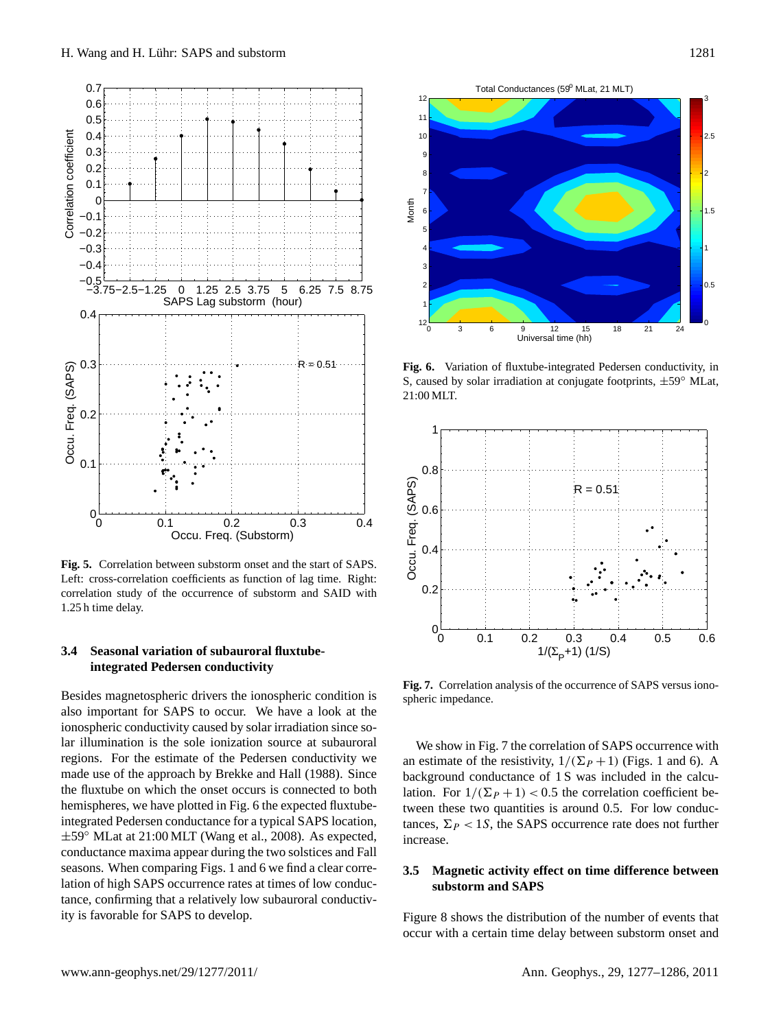

<span id="page-4-0"></span>**Fig. 5.** Correlation between substorm onset and the start of SAPS. Left: cross-correlation coefficients as function of lag time. Right: correlation study of the occurrence of substorm and SAID with 1.25 h time delay.

# **3.4 Seasonal variation of subauroral fluxtubeintegrated Pedersen conductivity**

Besides magnetospheric drivers the ionospheric condition is also important for SAPS to occur. We have a look at the ionospheric conductivity caused by solar irradiation since solar illumination is the sole ionization source at subauroral regions. For the estimate of the Pedersen conductivity we made use of the approach by [Brekke and Hall](#page-8-23) [\(1988\)](#page-8-23). Since the fluxtube on which the onset occurs is connected to both hemispheres, we have plotted in Fig. [6](#page-4-1) the expected fluxtubeintegrated Pedersen conductance for a typical SAPS location, ±59◦ MLat at 21:00 MLT [\(Wang et al.,](#page-9-4) [2008\)](#page-9-4). As expected, conductance maxima appear during the two solstices and Fall seasons. When comparing Figs. [1](#page-2-0) and [6](#page-4-1) we find a clear correlation of high SAPS occurrence rates at times of low conductance, confirming that a relatively low subauroral conductivity is favorable for SAPS to develop.



<span id="page-4-1"></span>**Fig. 6.** Variation of fluxtube-integrated Pedersen conductivity, in S, caused by solar irradiation at conjugate footprints, ±59◦ MLat, 21:00 MLT.



<span id="page-4-2"></span>**Fig. 7.** Correlation analysis of the occurrence of SAPS versus ionospheric impedance.

We show in Fig. [7](#page-4-2) the correlation of SAPS occurrence with an estimate of the resistivity,  $1/(\Sigma_P + 1)$  $1/(\Sigma_P + 1)$  (Figs. 1 and [6\)](#page-4-1). A background conductance of 1 S was included in the calculation. For  $1/(\Sigma_P + 1) < 0.5$  the correlation coefficient between these two quantities is around 0.5. For low conductances,  $\Sigma_P < 1S$ , the SAPS occurrence rate does not further increase.

# **3.5 Magnetic activity effect on time difference between substorm and SAPS**

Figure [8](#page-5-0) shows the distribution of the number of events that occur with a certain time delay between substorm onset and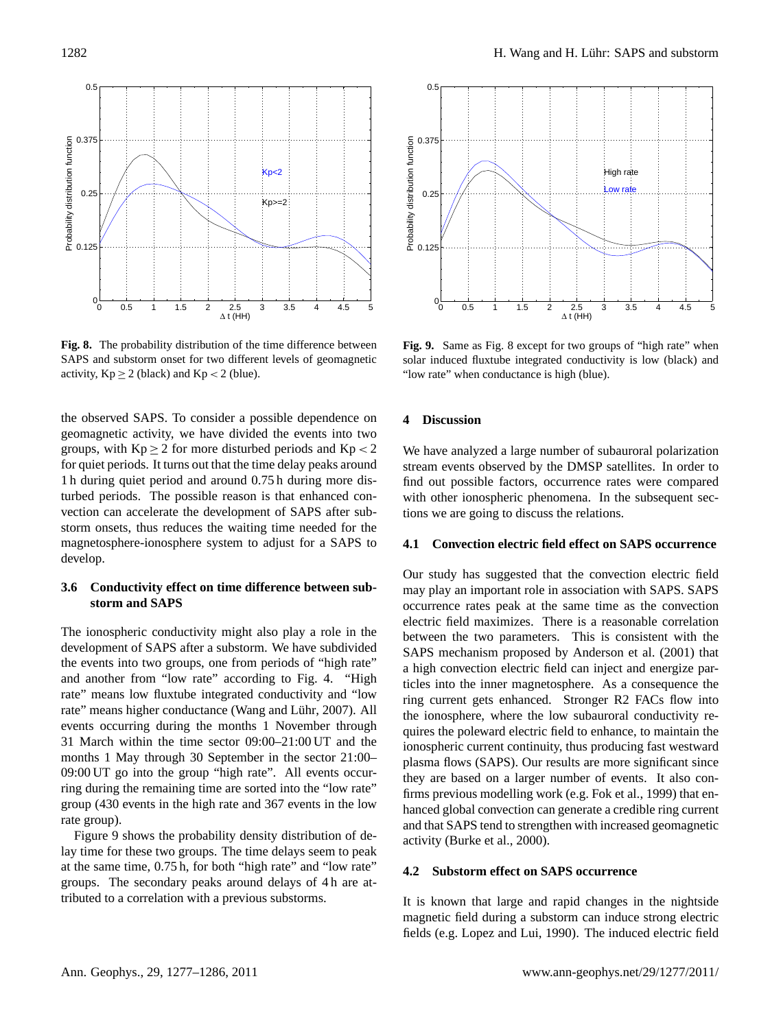

<span id="page-5-0"></span>**Fig. 8.** The probability distribution of the time difference between SAPS and substorm onset for two different levels of geomagnetic activity,  $Kp \geq 2$  (black) and  $Kp < 2$  (blue).

the observed SAPS. To consider a possible dependence on geomagnetic activity, we have divided the events into two groups, with  $Kp \geq 2$  for more disturbed periods and  $Kp < 2$ for quiet periods. It turns out that the time delay peaks around 1 h during quiet period and around 0.75 h during more disturbed periods. The possible reason is that enhanced convection can accelerate the development of SAPS after substorm onsets, thus reduces the waiting time needed for the magnetosphere-ionosphere system to adjust for a SAPS to develop.

# **3.6 Conductivity effect on time difference between substorm and SAPS**

The ionospheric conductivity might also play a role in the development of SAPS after a substorm. We have subdivided the events into two groups, one from periods of "high rate" and another from "low rate" according to Fig. [4.](#page-3-2) "High rate" means low fluxtube integrated conductivity and "low rate" means higher conductance (Wang and Lühr, [2007\)](#page-9-14). All events occurring during the months 1 November through 31 March within the time sector 09:00–21:00 UT and the months 1 May through 30 September in the sector 21:00– 09:00 UT go into the group "high rate". All events occurring during the remaining time are sorted into the "low rate" group (430 events in the high rate and 367 events in the low rate group).

Figure [9](#page-5-1) shows the probability density distribution of delay time for these two groups. The time delays seem to peak at the same time, 0.75 h, for both "high rate" and "low rate" groups. The secondary peaks around delays of 4 h are attributed to a correlation with a previous substorms.



<span id="page-5-1"></span>**Fig. 9.** Same as Fig. [8](#page-5-0) except for two groups of "high rate" when solar induced fluxtube integrated conductivity is low (black) and "low rate" when conductance is high (blue).

# **4 Discussion**

We have analyzed a large number of subauroral polarization stream events observed by the DMSP satellites. In order to find out possible factors, occurrence rates were compared with other ionospheric phenomena. In the subsequent sections we are going to discuss the relations.

# **4.1 Convection electric field effect on SAPS occurrence**

Our study has suggested that the convection electric field may play an important role in association with SAPS. SAPS occurrence rates peak at the same time as the convection electric field maximizes. There is a reasonable correlation between the two parameters. This is consistent with the SAPS mechanism proposed by [Anderson et al.](#page-8-6) [\(2001\)](#page-8-6) that a high convection electric field can inject and energize particles into the inner magnetosphere. As a consequence the ring current gets enhanced. Stronger R2 FACs flow into the ionosphere, where the low subauroral conductivity requires the poleward electric field to enhance, to maintain the ionospheric current continuity, thus producing fast westward plasma flows (SAPS). Our results are more significant since they are based on a larger number of events. It also confirms previous modelling work (e.g. [Fok et al.,](#page-8-12) [1999\)](#page-8-12) that enhanced global convection can generate a credible ring current and that SAPS tend to strengthen with increased geomagnetic activity [\(Burke et al.,](#page-8-3) [2000\)](#page-8-3).

# **4.2 Substorm effect on SAPS occurrence**

It is known that large and rapid changes in the nightside magnetic field during a substorm can induce strong electric fields (e.g. [Lopez and Lui,](#page-8-24) [1990\)](#page-8-24). The induced electric field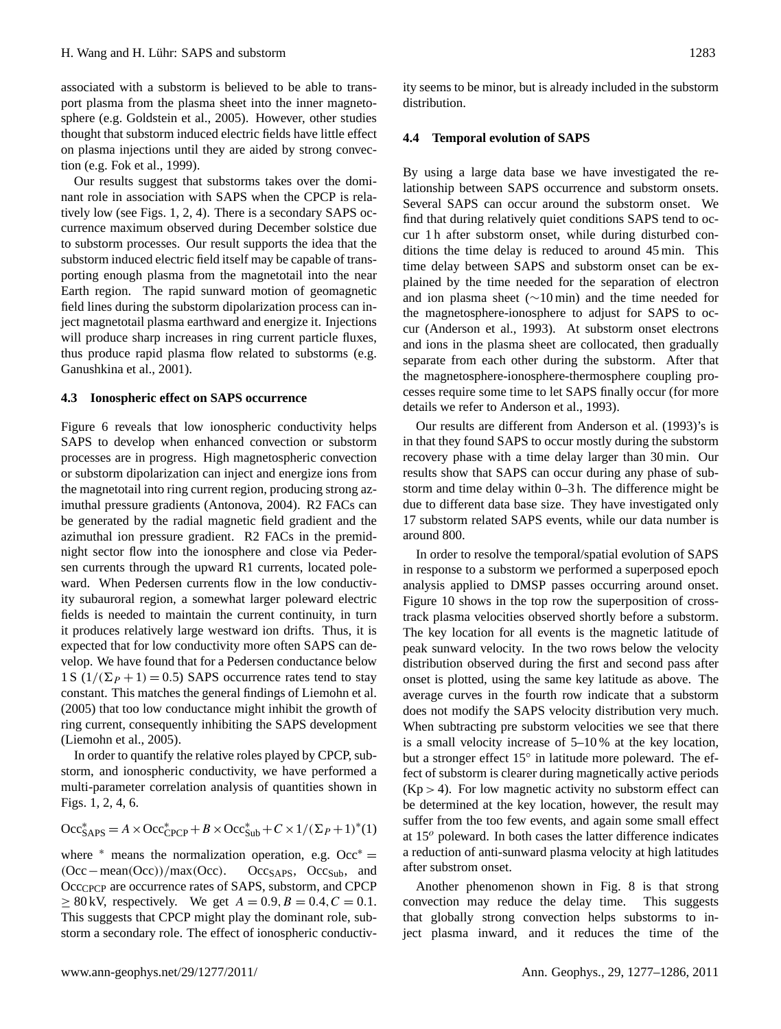associated with a substorm is believed to be able to transport plasma from the plasma sheet into the inner magnetosphere (e.g. [Goldstein et al.,](#page-8-8) [2005\)](#page-8-8). However, other studies thought that substorm induced electric fields have little effect on plasma injections until they are aided by strong convection (e.g. [Fok et al.,](#page-8-12) [1999\)](#page-8-12).

Our results suggest that substorms takes over the dominant role in association with SAPS when the CPCP is relatively low (see Figs. [1,](#page-2-0) [2,](#page-3-0) [4\)](#page-3-2). There is a secondary SAPS occurrence maximum observed during December solstice due to substorm processes. Our result supports the idea that the substorm induced electric field itself may be capable of transporting enough plasma from the magnetotail into the near Earth region. The rapid sunward motion of geomagnetic field lines during the substorm dipolarization process can inject magnetotail plasma earthward and energize it. Injections will produce sharp increases in ring current particle fluxes, thus produce rapid plasma flow related to substorms (e.g. [Ganushkina et al.,](#page-8-9) [2001\)](#page-8-9).

# **4.3 Ionospheric effect on SAPS occurrence**

Figure [6](#page-4-1) reveals that low ionospheric conductivity helps SAPS to develop when enhanced convection or substorm processes are in progress. High magnetospheric convection or substorm dipolarization can inject and energize ions from the magnetotail into ring current region, producing strong azimuthal pressure gradients [\(Antonova,](#page-8-25) [2004\)](#page-8-25). R2 FACs can be generated by the radial magnetic field gradient and the azimuthal ion pressure gradient. R2 FACs in the premidnight sector flow into the ionosphere and close via Pedersen currents through the upward R1 currents, located poleward. When Pedersen currents flow in the low conductivity subauroral region, a somewhat larger poleward electric fields is needed to maintain the current continuity, in turn it produces relatively large westward ion drifts. Thus, it is expected that for low conductivity more often SAPS can develop. We have found that for a Pedersen conductance below 1 S  $(1/(\Sigma_P + 1) = 0.5)$  SAPS occurrence rates tend to stay constant. This matches the general findings of [Liemohn et al.](#page-8-26) [\(2005\)](#page-8-26) that too low conductance might inhibit the growth of ring current, consequently inhibiting the SAPS development [\(Liemohn et al.,](#page-8-26) [2005\)](#page-8-26).

In order to quantify the relative roles played by CPCP, substorm, and ionospheric conductivity, we have performed a multi-parameter correlation analysis of quantities shown in Figs. [1,](#page-2-0) [2,](#page-3-0) [4,](#page-3-2) [6.](#page-4-1)

$$
\mathrm{Occ}_{\mathrm{SAPS}}^* = A \times \mathrm{Occ}_{\mathrm{CPCP}}^* + B \times \mathrm{Occ}_{\mathrm{Sub}}^* + C \times 1/(\Sigma_P + 1)^*(1)
$$

where  $*$  means the normalization operation, e.g. Occ $* =$ (Occ−mean(Occ))/max(Occ). Occ<sub>SAPS</sub>, Occ<sub>Sub</sub>, and Occ<sub>CPCP</sub> are occurrence rates of SAPS, substorm, and CPCP  $\geq 80$  kV, respectively. We get  $A = 0.9, B = 0.4, C = 0.1$ . This suggests that CPCP might play the dominant role, substorm a secondary role. The effect of ionospheric conductivity seems to be minor, but is already included in the substorm distribution.

# **4.4 Temporal evolution of SAPS**

By using a large data base we have investigated the relationship between SAPS occurrence and substorm onsets. Several SAPS can occur around the substorm onset. We find that during relatively quiet conditions SAPS tend to occur 1 h after substorm onset, while during disturbed conditions the time delay is reduced to around 45 min. This time delay between SAPS and substorm onset can be explained by the time needed for the separation of electron and ion plasma sheet (∼10 min) and the time needed for the magnetosphere-ionosphere to adjust for SAPS to occur [\(Anderson et al.,](#page-8-4) [1993\)](#page-8-4). At substorm onset electrons and ions in the plasma sheet are collocated, then gradually separate from each other during the substorm. After that the magnetosphere-ionosphere-thermosphere coupling processes require some time to let SAPS finally occur (for more details we refer to [Anderson et al.,](#page-8-4) [1993\)](#page-8-4).

Our results are different from [Anderson et al.](#page-8-4) [\(1993\)](#page-8-4)'s is in that they found SAPS to occur mostly during the substorm recovery phase with a time delay larger than 30 min. Our results show that SAPS can occur during any phase of substorm and time delay within 0–3 h. The difference might be due to different data base size. They have investigated only 17 substorm related SAPS events, while our data number is around 800.

In order to resolve the temporal/spatial evolution of SAPS in response to a substorm we performed a superposed epoch analysis applied to DMSP passes occurring around onset. Figure [10](#page-7-0) shows in the top row the superposition of crosstrack plasma velocities observed shortly before a substorm. The key location for all events is the magnetic latitude of peak sunward velocity. In the two rows below the velocity distribution observed during the first and second pass after onset is plotted, using the same key latitude as above. The average curves in the fourth row indicate that a substorm does not modify the SAPS velocity distribution very much. When subtracting pre substorm velocities we see that there is a small velocity increase of 5–10 % at the key location, but a stronger effect 15° in latitude more poleward. The effect of substorm is clearer during magnetically active periods  $(Kp > 4)$ . For low magnetic activity no substorm effect can be determined at the key location, however, the result may suffer from the too few events, and again some small effect at  $15<sup>o</sup>$  poleward. In both cases the latter difference indicates a reduction of anti-sunward plasma velocity at high latitudes after substrom onset.

Another phenomenon shown in Fig. [8](#page-5-0) is that strong convection may reduce the delay time. This suggests that globally strong convection helps substorms to inject plasma inward, and it reduces the time of the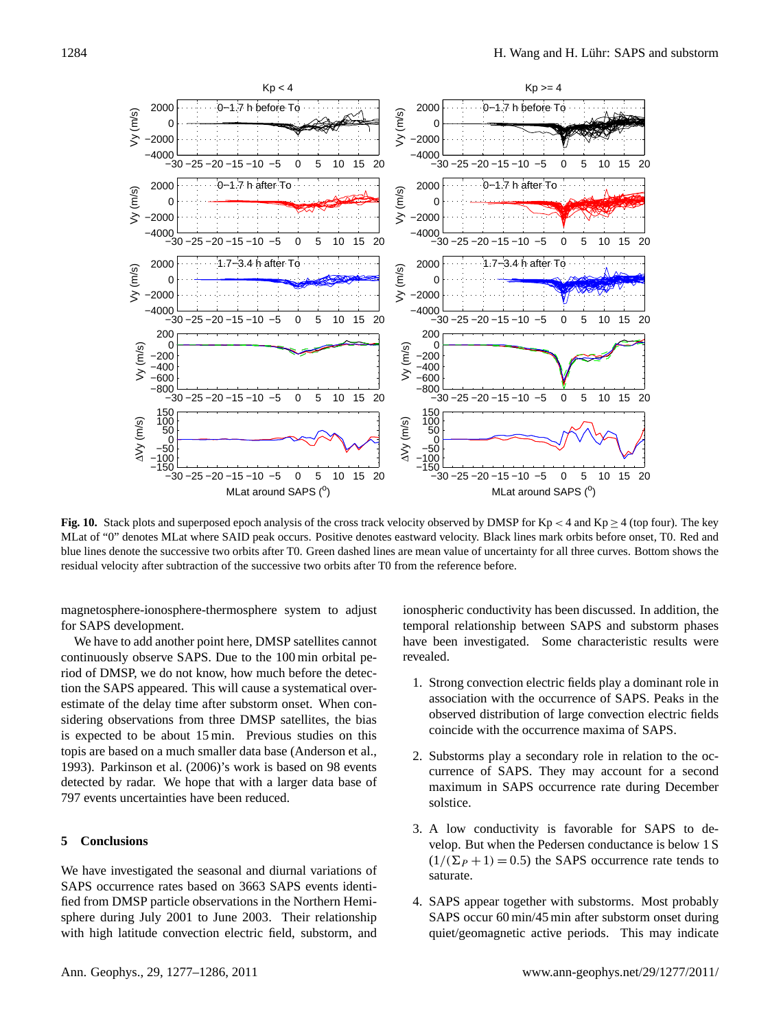

<span id="page-7-0"></span>**Fig. 10.** Stack plots and superposed epoch analysis of the cross track velocity observed by DMSP for Kp < 4 and Kp  $\geq$  4 (top four). The key MLat of "0" denotes MLat where SAID peak occurs. Positive denotes eastward velocity. Black lines mark orbits before onset, T0. Red and blue lines denote the successive two orbits after T0. Green dashed lines are mean value of uncertainty for all three curves. Bottom shows the residual velocity after subtraction of the successive two orbits after T0 from the reference before.

magnetosphere-ionosphere-thermosphere system to adjust for SAPS development.

We have to add another point here, DMSP satellites cannot continuously observe SAPS. Due to the 100 min orbital period of DMSP, we do not know, how much before the detection the SAPS appeared. This will cause a systematical overestimate of the delay time after substorm onset. When considering observations from three DMSP satellites, the bias is expected to be about 15 min. Previous studies on this topis are based on a much smaller data base [\(Anderson et al.,](#page-8-4) [1993\)](#page-8-4). [Parkinson et al.](#page-9-2) [\(2006\)](#page-9-2)'s work is based on 98 events detected by radar. We hope that with a larger data base of 797 events uncertainties have been reduced.

# **5 Conclusions**

We have investigated the seasonal and diurnal variations of SAPS occurrence rates based on 3663 SAPS events identified from DMSP particle observations in the Northern Hemisphere during July 2001 to June 2003. Their relationship with high latitude convection electric field, substorm, and ionospheric conductivity has been discussed. In addition, the temporal relationship between SAPS and substorm phases have been investigated. Some characteristic results were revealed.

- 1. Strong convection electric fields play a dominant role in association with the occurrence of SAPS. Peaks in the observed distribution of large convection electric fields coincide with the occurrence maxima of SAPS.
- 2. Substorms play a secondary role in relation to the occurrence of SAPS. They may account for a second maximum in SAPS occurrence rate during December solstice.
- 3. A low conductivity is favorable for SAPS to develop. But when the Pedersen conductance is below 1 S  $(1/(\Sigma_P + 1) = 0.5)$  the SAPS occurrence rate tends to saturate.
- 4. SAPS appear together with substorms. Most probably SAPS occur 60 min/45 min after substorm onset during quiet/geomagnetic active periods. This may indicate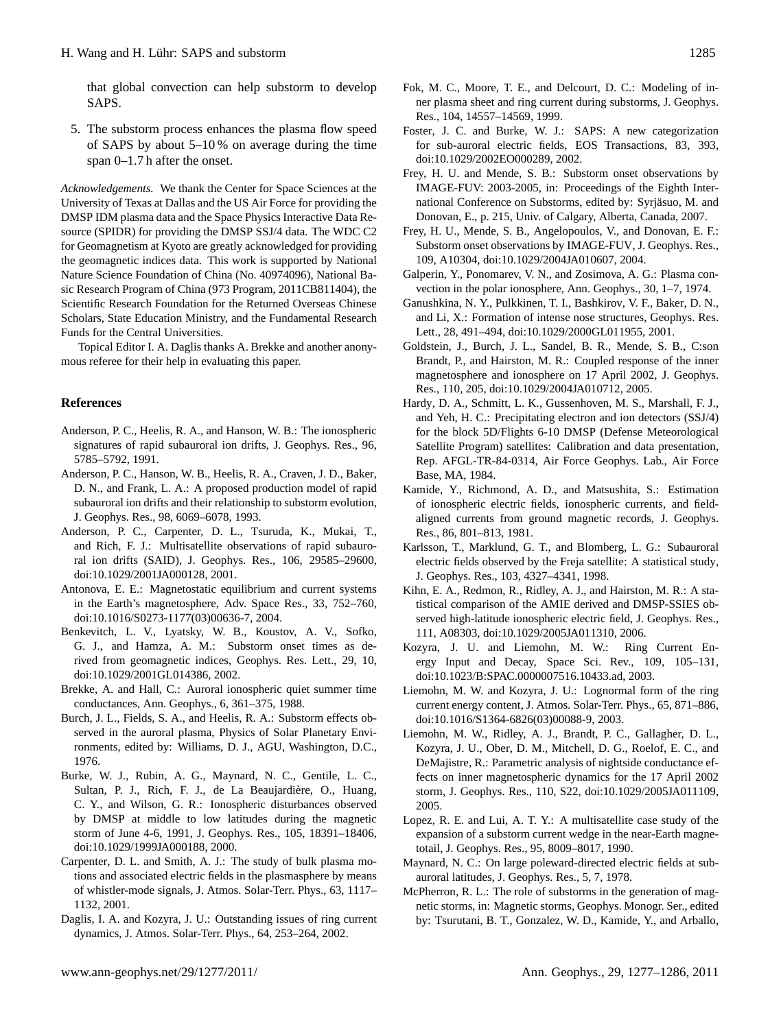that global convection can help substorm to develop SAPS.

5. The substorm process enhances the plasma flow speed of SAPS by about 5–10 % on average during the time span 0–1.7 h after the onset.

*Acknowledgements.* We thank the Center for Space Sciences at the University of Texas at Dallas and the US Air Force for providing the DMSP IDM plasma data and the Space Physics Interactive Data Resource (SPIDR) for providing the DMSP SSJ/4 data. The WDC C2 for Geomagnetism at Kyoto are greatly acknowledged for providing the geomagnetic indices data. This work is supported by National Nature Science Foundation of China (No. 40974096), National Basic Research Program of China (973 Program, 2011CB811404), the Scientific Research Foundation for the Returned Overseas Chinese Scholars, State Education Ministry, and the Fundamental Research Funds for the Central Universities.

Topical Editor I. A. Daglis thanks A. Brekke and another anonymous referee for their help in evaluating this paper.

# **References**

- <span id="page-8-2"></span>Anderson, P. C., Heelis, R. A., and Hanson, W. B.: The ionospheric signatures of rapid subauroral ion drifts, J. Geophys. Res., 96, 5785–5792, 1991.
- <span id="page-8-4"></span>Anderson, P. C., Hanson, W. B., Heelis, R. A., Craven, J. D., Baker, D. N., and Frank, L. A.: A proposed production model of rapid subauroral ion drifts and their relationship to substorm evolution, J. Geophys. Res., 98, 6069–6078, 1993.
- <span id="page-8-6"></span>Anderson, P. C., Carpenter, D. L., Tsuruda, K., Mukai, T., and Rich, F. J.: Multisatellite observations of rapid subauroral ion drifts (SAID), J. Geophys. Res., 106, 29585–29600, [doi:10.1029/2001JA000128,](http://dx.doi.org/10.1029/2001JA000128) 2001.
- <span id="page-8-25"></span>Antonova, E. E.: Magnetostatic equilibrium and current systems in the Earth's magnetosphere, Adv. Space Res., 33, 752–760, [doi:10.1016/S0273-1177\(03\)00636-7,](http://dx.doi.org/10.1016/S0273-1177(03)00636-7) 2004.
- <span id="page-8-20"></span>Benkevitch, L. V., Lyatsky, W. B., Koustov, A. V., Sofko, G. J., and Hamza, A. M.: Substorm onset times as derived from geomagnetic indices, Geophys. Res. Lett., 29, 10, [doi:10.1029/2001GL014386,](http://dx.doi.org/10.1029/2001GL014386) 2002.
- <span id="page-8-23"></span>Brekke, A. and Hall, C.: Auroral ionospheric quiet summer time conductances, Ann. Geophys., 6, 361–375, 1988.
- <span id="page-8-13"></span>Burch, J. L., Fields, S. A., and Heelis, R. A.: Substorm effects observed in the auroral plasma, Physics of Solar Planetary Environments, edited by: Williams, D. J., AGU, Washington, D.C., 1976.
- <span id="page-8-3"></span>Burke, W. J., Rubin, A. G., Maynard, N. C., Gentile, L. C., Sultan, P. J., Rich, F. J., de La Beaujardière, O., Huang, C. Y., and Wilson, G. R.: Ionospheric disturbances observed by DMSP at middle to low latitudes during the magnetic storm of June 4-6, 1991, J. Geophys. Res., 105, 18391–18406, [doi:10.1029/1999JA000188,](http://dx.doi.org/10.1029/1999JA000188) 2000.
- <span id="page-8-10"></span>Carpenter, D. L. and Smith, A. J.: The study of bulk plasma motions and associated electric fields in the plasmasphere by means of whistler-mode signals, J. Atmos. Solar-Terr. Phys., 63, 1117– 1132, 2001.
- <span id="page-8-7"></span>Daglis, I. A. and Kozyra, J. U.: Outstanding issues of ring current dynamics, J. Atmos. Solar-Terr. Phys., 64, 253–264, 2002.
- <span id="page-8-12"></span>Fok, M. C., Moore, T. E., and Delcourt, D. C.: Modeling of inner plasma sheet and ring current during substorms, J. Geophys. Res., 104, 14557–14569, 1999.
- <span id="page-8-0"></span>Foster, J. C. and Burke, W. J.: SAPS: A new categorization for sub-auroral electric fields, EOS Transactions, 83, 393, [doi:10.1029/2002EO000289,](http://dx.doi.org/10.1029/2002EO000289) 2002.
- <span id="page-8-19"></span>Frey, H. U. and Mende, S. B.: Substorm onset observations by IMAGE-FUV: 2003-2005, in: Proceedings of the Eighth International Conference on Substorms, edited by: Syrjasuo, M. and ¨ Donovan, E., p. 215, Univ. of Calgary, Alberta, Canada, 2007.
- <span id="page-8-18"></span>Frey, H. U., Mende, S. B., Angelopoulos, V., and Donovan, E. F.: Substorm onset observations by IMAGE-FUV, J. Geophys. Res., 109, A10304, [doi:10.1029/2004JA010607,](http://dx.doi.org/10.1029/2004JA010607) 2004.
- <span id="page-8-1"></span>Galperin, Y., Ponomarev, V. N., and Zosimova, A. G.: Plasma convection in the polar ionosphere, Ann. Geophys., 30, 1–7, 1974.
- <span id="page-8-9"></span>Ganushkina, N. Y., Pulkkinen, T. I., Bashkirov, V. F., Baker, D. N., and Li, X.: Formation of intense nose structures, Geophys. Res. Lett., 28, 491–494, [doi:10.1029/2000GL011955,](http://dx.doi.org/10.1029/2000GL011955) 2001.
- <span id="page-8-8"></span>Goldstein, J., Burch, J. L., Sandel, B. R., Mende, S. B., C:son Brandt, P., and Hairston, M. R.: Coupled response of the inner magnetosphere and ionosphere on 17 April 2002, J. Geophys. Res., 110, 205, [doi:10.1029/2004JA010712,](http://dx.doi.org/10.1029/2004JA010712) 2005.
- <span id="page-8-15"></span>Hardy, D. A., Schmitt, L. K., Gussenhoven, M. S., Marshall, F. J., and Yeh, H. C.: Precipitating electron and ion detectors (SSJ/4) for the block 5D/Flights 6-10 DMSP (Defense Meteorological Satellite Program) satellites: Calibration and data presentation, Rep. AFGL-TR-84-0314, Air Force Geophys. Lab., Air Force Base, MA, 1984.
- <span id="page-8-16"></span>Kamide, Y., Richmond, A. D., and Matsushita, S.: Estimation of ionospheric electric fields, ionospheric currents, and fieldaligned currents from ground magnetic records, J. Geophys. Res., 86, 801–813, 1981.
- <span id="page-8-5"></span>Karlsson, T., Marklund, G. T., and Blomberg, L. G.: Subauroral electric fields observed by the Freja satellite: A statistical study, J. Geophys. Res., 103, 4327–4341, 1998.
- <span id="page-8-17"></span>Kihn, E. A., Redmon, R., Ridley, A. J., and Hairston, M. R.: A statistical comparison of the AMIE derived and DMSP-SSIES observed high-latitude ionospheric electric field, J. Geophys. Res., 111, A08303, [doi:10.1029/2005JA011310,](http://dx.doi.org/10.1029/2005JA011310) 2006.
- <span id="page-8-21"></span>Kozyra, J. U. and Liemohn, M. W.: Ring Current Energy Input and Decay, Space Sci. Rev., 109, 105–131, [doi:10.1023/B:SPAC.0000007516.10433.ad,](http://dx.doi.org/10.1023/B:SPAC.0000007516.10433.ad) 2003.
- <span id="page-8-22"></span>Liemohn, M. W. and Kozyra, J. U.: Lognormal form of the ring current energy content, J. Atmos. Solar-Terr. Phys., 65, 871–886, [doi:10.1016/S1364-6826\(03\)00088-9,](http://dx.doi.org/10.1016/S1364-6826(03)00088-9) 2003.
- <span id="page-8-26"></span>Liemohn, M. W., Ridley, A. J., Brandt, P. C., Gallagher, D. L., Kozyra, J. U., Ober, D. M., Mitchell, D. G., Roelof, E. C., and DeMajistre, R.: Parametric analysis of nightside conductance effects on inner magnetospheric dynamics for the 17 April 2002 storm, J. Geophys. Res., 110, S22, [doi:10.1029/2005JA011109,](http://dx.doi.org/10.1029/2005JA011109) 2005.
- <span id="page-8-24"></span>Lopez, R. E. and Lui, A. T. Y.: A multisatellite case study of the expansion of a substorm current wedge in the near-Earth magnetotail, J. Geophys. Res., 95, 8009–8017, 1990.
- <span id="page-8-14"></span>Maynard, N. C.: On large poleward-directed electric fields at subauroral latitudes, J. Geophys. Res., 5, 7, 1978.
- <span id="page-8-11"></span>McPherron, R. L.: The role of substorms in the generation of magnetic storms, in: Magnetic storms, Geophys. Monogr. Ser., edited by: Tsurutani, B. T., Gonzalez, W. D., Kamide, Y., and Arballo,